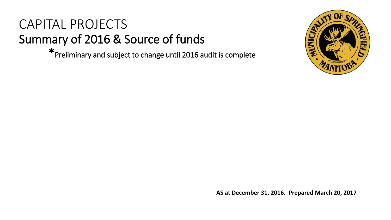# CAPITAL PROJECTS Summary of 2016 & Source of funds

\*Preliminary and subject to change until 2016 audit is complete



**AS at December 31, 2016. Prepared March 20, 2017**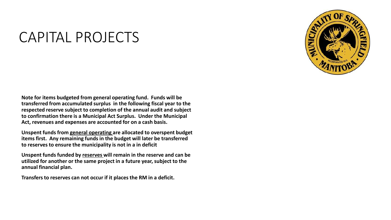# CAPITAL PROJECTS

**Note for items budgeted from general operating fund. Funds will be transferred from accumulated surplus in the following fiscal year to the respected reserve subject to completion of the annual audit and subject to confirmation there is a Municipal Act Surplus. Under the Municipal Act, revenues and expenses are accounted for on a cash basis.** 

**Unspent funds from general operating are allocated to overspent budget items first. Any remaining funds in the budget will later be transferred to reserves to ensure the municipality is not in a in deficit**

**Unspent funds funded by reserves will remain in the reserve and can be utilized for another or the same project in a future year, subject to the annual financial plan.** 

**Transfers to reserves can not occur if it places the RM in a deficit.**

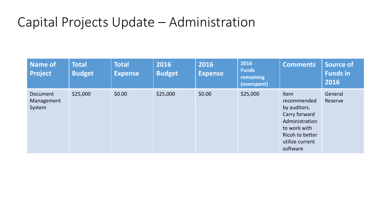# Capital Projects Update – Administration

| <b>Name of</b><br><b>Project</b> | <b>Total</b><br><b>Budget</b> | <b>Total</b><br><b>Expense</b> | 2016<br><b>Budget</b> | 2016<br><b>Expense</b> | 2016<br><b>Funds</b><br><b>remaining</b><br>(overspent) | <b>Comments</b>                                                                                                                                 | <b>Source of</b><br><b>Funds in</b><br>2016 |
|----------------------------------|-------------------------------|--------------------------------|-----------------------|------------------------|---------------------------------------------------------|-------------------------------------------------------------------------------------------------------------------------------------------------|---------------------------------------------|
| Document<br>Management<br>System | \$25,000                      | \$0.00                         | \$25,000              | \$0.00                 | \$25,000                                                | <b>Item</b><br>recommended<br>by auditors.<br>Carry forward<br>Administration<br>to work with<br>Ricoh to better<br>utilize current<br>software | General<br>Reserve                          |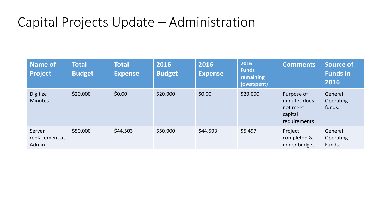# Capital Projects Update – Administration

| Name of<br><b>Project</b>         | <b>Total</b><br><b>Budget</b> | <b>Total</b><br><b>Expense</b> | 2016<br><b>Budget</b> | 2016<br><b>Expense</b> | 2016<br><b>Funds</b><br>remaining<br>(overspent) | <b>Comments</b>                                                   | Source of<br><b>Funds in</b><br>2016  |
|-----------------------------------|-------------------------------|--------------------------------|-----------------------|------------------------|--------------------------------------------------|-------------------------------------------------------------------|---------------------------------------|
| Digitize<br><b>Minutes</b>        | \$20,000                      | \$0.00                         | \$20,000              | \$0.00                 | \$20,000                                         | Purpose of<br>minutes does<br>not meet<br>capital<br>requirements | General<br><b>Operating</b><br>funds. |
| Server<br>replacement at<br>Admin | \$50,000                      | \$44,503                       | \$50,000              | \$44,503               | \$5,497                                          | Project<br>completed &<br>under budget                            | General<br><b>Operating</b><br>Funds. |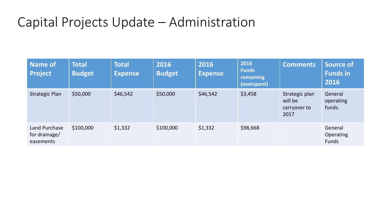# Capital Projects Update – Administration

| <b>Name of</b><br><b>Project</b>            | <b>Total</b><br><b>Budget</b> | <b>Total</b><br><b>Expense</b> | 2016<br><b>Budget</b> | 2016<br><b>Expense</b> | 2016<br><b>Funds</b><br><b>remaining</b><br>(overspent) | <b>Comments</b>                                   | <b>Source of</b><br><b>Funds in</b><br>2016 |
|---------------------------------------------|-------------------------------|--------------------------------|-----------------------|------------------------|---------------------------------------------------------|---------------------------------------------------|---------------------------------------------|
| <b>Strategic Plan</b>                       | \$50,000                      | \$46,542                       | \$50,000              | \$46,542               | \$3,458                                                 | Strategic plan<br>will be<br>carryover to<br>2017 | General<br>operating<br>funds.              |
| Land Purchase<br>for drainage/<br>easements | \$100,000                     | \$1,332                        | \$100,000             | \$1,332                | \$98,668                                                |                                                   | General<br><b>Operating</b><br>Funds        |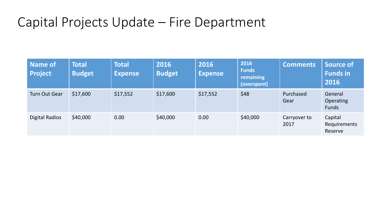# Capital Projects Update – Fire Department

| <b>Name of</b><br><b>Project</b> | <b>Total</b><br><b>Budget</b> | <b>Total</b><br><b>Expense</b> | 2016<br><b>Budget</b> | 2016<br><b>Expense</b> | 2016<br><b>Funds</b><br><b>remaining</b><br>(overspent) | <b>Comments</b>      | Source of<br><b>Funds in</b><br>2016        |
|----------------------------------|-------------------------------|--------------------------------|-----------------------|------------------------|---------------------------------------------------------|----------------------|---------------------------------------------|
| <b>Turn Out Gear</b>             | \$17,600                      | \$17,552                       | \$17,600              | \$17,552               | \$48                                                    | Purchased<br>Gear    | General<br><b>Operating</b><br><b>Funds</b> |
| <b>Digital Radios</b>            | \$40,000                      | 0.00                           | \$40,000              | 0.00                   | \$40,000                                                | Carryover to<br>2017 | Capital<br>Requirements<br>Reserve          |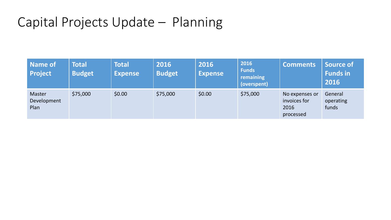## Capital Projects Update – Planning

| Name of<br><b>Project</b>     | <b>Total</b><br><b>Budget</b> | <b>Total</b><br><b>Expense</b> | 2016<br><b>Budget</b> | 2016<br><b>Expense</b> | 2016<br><b>Funds</b><br>remaining<br>(overspent) | <b>Comments</b>                                     | Source of<br><b>Funds in</b><br>2016 |
|-------------------------------|-------------------------------|--------------------------------|-----------------------|------------------------|--------------------------------------------------|-----------------------------------------------------|--------------------------------------|
| Master<br>Development<br>Plan | \$75,000                      | \$0.00                         | \$75,000              | \$0.00                 | \$75,000                                         | No expenses or<br>invoices for<br>2016<br>processed | General<br>operating<br>funds        |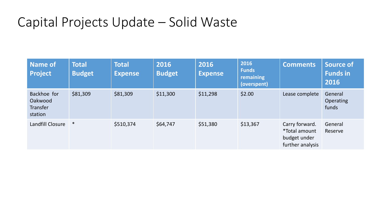# Capital Projects Update – Solid Waste

| <b>Name of</b><br><b>Project</b>                     | <b>Total</b><br><b>Budget</b> | <b>Total</b><br><b>Expense</b> | 2016<br><b>Budget</b> | 2016<br><b>Expense</b> | 2016<br><b>Funds</b><br>remaining<br>(overspent) | <b>Comments</b>                                                            | <b>Source of</b><br><b>Funds in</b><br>2016 |
|------------------------------------------------------|-------------------------------|--------------------------------|-----------------------|------------------------|--------------------------------------------------|----------------------------------------------------------------------------|---------------------------------------------|
| Backhoe for<br>Oakwood<br><b>Transfer</b><br>station | \$81,309                      | \$81,309                       | \$11,300              | \$11,298               | \$2.00                                           | Lease complete                                                             | General<br><b>Operating</b><br>funds        |
| Landfill Closure                                     | $\ast$                        | \$510,374                      | \$64,747              | \$51,380               | \$13,367                                         | Carry forward.<br><i>*Total amount</i><br>budget under<br>further analysis | General<br>Reserve                          |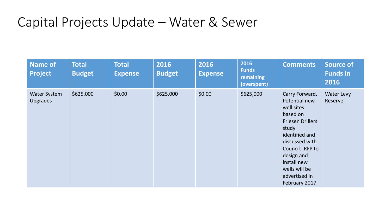| <b>Name of</b><br><b>Project</b>       | <b>Total</b><br><b>Budget</b> | <b>Total</b><br><b>Expense</b> | 2016<br><b>Budget</b> | 2016<br><b>Expense</b> | 2016<br><b>Funds</b><br>remaining<br>(overspent) | <b>Comments</b>                                                                                                                                                                                                                      | <b>Source of</b><br><b>Funds in</b><br>2016 |
|----------------------------------------|-------------------------------|--------------------------------|-----------------------|------------------------|--------------------------------------------------|--------------------------------------------------------------------------------------------------------------------------------------------------------------------------------------------------------------------------------------|---------------------------------------------|
| <b>Water System</b><br><b>Upgrades</b> | \$625,000                     | \$0.00                         | \$625,000             | \$0.00                 | \$625,000                                        | Carry Forward.<br>Potential new<br>well sites<br>based on<br><b>Friesen Drillers</b><br>study<br>identified and<br>discussed with<br>Council. RFP to<br>design and<br>install new<br>wells will be<br>advertised in<br>February 2017 | Water Levy<br>Reserve                       |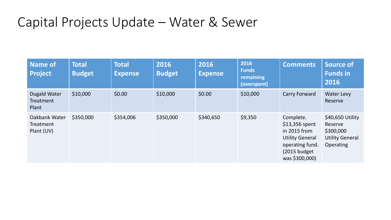| Name of<br><b>Project</b>                 | <b>Total</b><br><b>Budget</b> | <b>Total</b><br><b>Expense</b> | 2016<br><b>Budget</b> | 2016<br><b>Expense</b> | 2016<br><b>Funds</b><br>remaining<br>(overspent) | <b>Comments</b>                                                                                                             | <b>Source of</b><br><b>Funds in</b><br>2016                                     |
|-------------------------------------------|-------------------------------|--------------------------------|-----------------------|------------------------|--------------------------------------------------|-----------------------------------------------------------------------------------------------------------------------------|---------------------------------------------------------------------------------|
| <b>Dugald Water</b><br>Treatment<br>Plant | \$10,000                      | \$0.00                         | \$10,000              | \$0.00                 | \$10,000                                         | Carry Forward                                                                                                               | <b>Water Levy</b><br>Reserve                                                    |
| Oakbank Water<br>Treatment<br>Plant (UV)  | \$350,000                     | \$354,006                      | \$350,000             | \$340,650              | \$9,350                                          | Complete.<br>\$13,356 spent<br>in 2015 from<br><b>Utility General</b><br>operating fund.<br>(2015 budget)<br>was \$300,000) | \$40,650 Utility<br>Reserve<br>\$300,000<br><b>Utility General</b><br>Operating |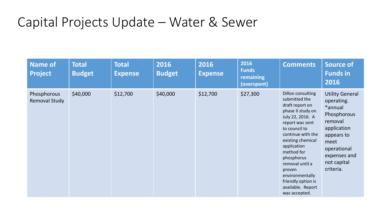| <b>Name of</b><br><b>Project</b> | <b>Total</b><br><b>Budget</b> | <b>Total</b><br><b>Expense</b> | 2016<br><b>Budget</b> | 2016<br><b>Expense</b> | 2016<br><b>Funds</b><br>remaining<br>(overspent) | <b>Comments</b>                                                                                                                                                                                                                                                                                                                     | <b>Source of</b><br><b>Funds in</b><br>2016                                                                                                                               |
|----------------------------------|-------------------------------|--------------------------------|-----------------------|------------------------|--------------------------------------------------|-------------------------------------------------------------------------------------------------------------------------------------------------------------------------------------------------------------------------------------------------------------------------------------------------------------------------------------|---------------------------------------------------------------------------------------------------------------------------------------------------------------------------|
| Phosphorous<br>Removal Study     | \$40,000                      | \$12,700                       | \$40,000              | \$12,700               | \$27,300                                         | Dillon consulting<br>submitted the<br>draft report on<br>phase II study on<br>July 22, 2016. A<br>report was sent<br>to council to<br>continue with the<br>existing chemical<br>application<br>method for<br>phosphorus<br>removal until a<br>proven<br>environmentally<br>friendly option is<br>available. Report<br>was accepted. | <b>Utility General</b><br>operating.<br>*annual<br>Phosphorous<br>removal<br>application<br>appears to<br>meet<br>operational<br>expenses and<br>not capital<br>criteria. |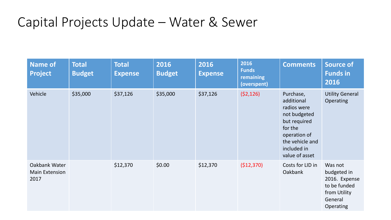| <b>Name of</b><br><b>Project</b>               | <b>Total</b><br><b>Budget</b> | <b>Total</b><br><b>Expense</b> | 2016<br><b>Budget</b> | 2016<br><b>Expense</b> | 2016<br><b>Funds</b><br>remaining<br>(overspent) | <b>Comments</b>                                                                                                                                       | <b>Source of</b><br><b>Funds in</b><br>2016                                                     |
|------------------------------------------------|-------------------------------|--------------------------------|-----------------------|------------------------|--------------------------------------------------|-------------------------------------------------------------------------------------------------------------------------------------------------------|-------------------------------------------------------------------------------------------------|
| Vehicle                                        | \$35,000                      | \$37,126                       | \$35,000              | \$37,126               | (52, 126)                                        | Purchase,<br>additional<br>radios were<br>not budgeted<br>but required<br>for the<br>operation of<br>the vehicle and<br>included in<br>value of asset | <b>Utility General</b><br>Operating                                                             |
| Oakbank Water<br><b>Main Extension</b><br>2017 |                               | \$12,370                       | \$0.00                | \$12,370               | (\$12,370)                                       | Costs for LID in<br><b>Oakbank</b>                                                                                                                    | Was not<br>budgeted in<br>2016. Expense<br>to be funded<br>from Utility<br>General<br>Operating |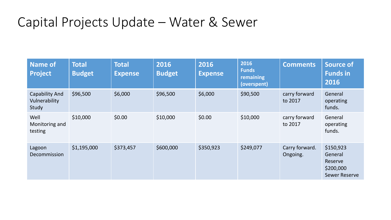| <b>Name of</b><br><b>Project</b>         | <b>Total</b><br><b>Budget</b> | <b>Total</b><br><b>Expense</b> | 2016<br><b>Budget</b> | 2016<br><b>Expense</b> | 2016<br><b>Funds</b><br>remaining<br>(overspent) | <b>Comments</b>            | Source of<br><b>Funds in</b><br>2016                                 |
|------------------------------------------|-------------------------------|--------------------------------|-----------------------|------------------------|--------------------------------------------------|----------------------------|----------------------------------------------------------------------|
| Capability And<br>Vulnerability<br>Study | \$96,500                      | \$6,000                        | \$96,500              | \$6,000                | \$90,500                                         | carry forward<br>to 2017   | General<br>operating<br>funds.                                       |
| Well<br>Monitoring and<br>testing        | \$10,000                      | \$0.00                         | \$10,000              | \$0.00                 | \$10,000                                         | carry forward<br>to 2017   | General<br>operating<br>funds.                                       |
| Lagoon<br>Decommission                   | \$1,195,000                   | \$373,457                      | \$600,000             | \$350,923              | \$249,077                                        | Carry forward.<br>Ongoing. | \$150,923<br>General<br>Reserve<br>\$200,000<br><b>Sewer Reserve</b> |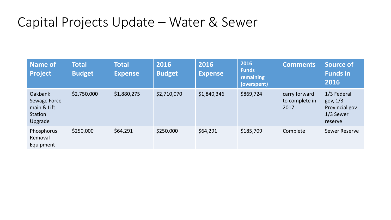| Name of<br><b>Project</b>                                                  | <b>Total</b><br><b>Budget</b> | <b>Total</b><br><b>Expense</b> | 2016<br><b>Budget</b> | 2016<br><b>Expense</b> | 2016<br><b>Funds</b><br>remaining<br>(overspent) | <b>Comments</b>                         | <b>Source of</b><br><b>Funds in</b><br>2016                         |
|----------------------------------------------------------------------------|-------------------------------|--------------------------------|-----------------------|------------------------|--------------------------------------------------|-----------------------------------------|---------------------------------------------------------------------|
| <b>Oakbank</b><br>Sewage Force<br>main & Lift<br><b>Station</b><br>Upgrade | \$2,750,000                   | \$1,880,275                    | \$2,710,070           | \$1,840,346            | \$869,724                                        | carry forward<br>to complete in<br>2017 | 1/3 Federal<br>gov, $1/3$<br>Provincial gov<br>1/3 Sewer<br>reserve |
| Phosphorus<br>Removal<br>Equipment                                         | \$250,000                     | \$64,291                       | \$250,000             | \$64,291               | \$185,709                                        | Complete                                | <b>Sewer Reserve</b>                                                |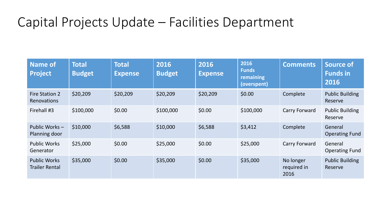# Capital Projects Update – Facilities Department

| Name of<br><b>Project</b>                    | <b>Total</b><br><b>Budget</b> | <b>Total</b><br><b>Expense</b> | 2016<br><b>Budget</b> | 2016<br><b>Expense</b> | 2016<br><b>Funds</b><br>remaining<br>(overspent) | <b>Comments</b>                  | <b>Source of</b><br><b>Funds in</b><br>2016 |
|----------------------------------------------|-------------------------------|--------------------------------|-----------------------|------------------------|--------------------------------------------------|----------------------------------|---------------------------------------------|
| Fire Station 2<br><b>Renovations</b>         | \$20,209                      | \$20,209                       | \$20,209              | \$20,209               | \$0.00                                           | Complete                         | <b>Public Building</b><br>Reserve           |
| Firehall #3                                  | \$100,000                     | \$0.00                         | \$100,000             | \$0.00                 | \$100,000                                        | Carry Forward                    | <b>Public Building</b><br>Reserve           |
| Public Works-<br>Planning door               | \$10,000                      | \$6,588                        | \$10,000              | \$6,588                | \$3,412                                          | Complete                         | General<br><b>Operating Fund</b>            |
| <b>Public Works</b><br>Generator             | \$25,000                      | \$0.00                         | \$25,000              | \$0.00                 | \$25,000                                         | Carry Forward                    | General<br><b>Operating Fund</b>            |
| <b>Public Works</b><br><b>Trailer Rental</b> | \$35,000                      | \$0.00                         | \$35,000              | \$0.00                 | \$35,000                                         | No longer<br>required in<br>2016 | <b>Public Building</b><br>Reserve           |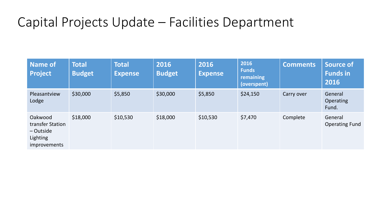# Capital Projects Update – Facilities Department

| Name of<br><b>Project</b>                                                     | <b>Total</b><br><b>Budget</b> | <b>Total</b><br><b>Expense</b> | 2016<br><b>Budget</b> | 2016<br><b>Expense</b> | 2016<br><b>Funds</b><br>remaining<br>(overspent) | <b>Comments</b> | <b>Source of</b><br><b>Funds in</b><br>2016 |
|-------------------------------------------------------------------------------|-------------------------------|--------------------------------|-----------------------|------------------------|--------------------------------------------------|-----------------|---------------------------------------------|
| Pleasantview<br>Lodge                                                         | \$30,000                      | \$5,850                        | \$30,000              | \$5,850                | \$24,150                                         | Carry over      | General<br><b>Operating</b><br>Fund.        |
| Oakwood<br>transfer Station<br>$-$ Outside<br>Lighting<br><i>improvements</i> | \$18,000                      | \$10,530                       | \$18,000              | \$10,530               | \$7,470                                          | Complete        | General<br><b>Operating Fund</b>            |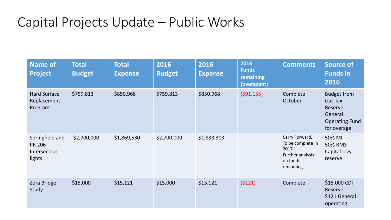| <b>Name of</b><br><b>Project</b>                           | <b>Total</b><br><b>Budget</b> | <b>Total</b><br><b>Expense</b> | 2016<br><b>Budget</b> | 2016<br><b>Expense</b> | 2016<br><b>Funds</b><br>remaining<br>(overspent) | <b>Comments</b>                                                                          | <b>Source of</b><br><b>Funds in</b><br>2016                                                  |
|------------------------------------------------------------|-------------------------------|--------------------------------|-----------------------|------------------------|--------------------------------------------------|------------------------------------------------------------------------------------------|----------------------------------------------------------------------------------------------|
| <b>Hard Surface</b><br>Replacement<br>Program              | \$759,813                     | \$850,968                      | \$759,813             | \$850,968              | (591, 155)                                       | Complete<br>October                                                                      | <b>Budget from</b><br>Gas Tax<br>Reserve<br>General<br><b>Operating Fund</b><br>for overage. |
| Springfield and<br><b>PR 206</b><br>Intersection<br>lights | \$2,700,000                   | \$1,869,530                    | \$2,700,000           | \$1,833,303            |                                                  | Carry Forward.<br>To be complete in<br>2017<br>Further analysis<br>on funds<br>remaining | 50% MI<br>50% RMS $-$<br>Capital levy<br>reserve                                             |
| Zora Bridge<br>Study                                       | \$15,000                      | \$15,121                       | \$15,000              | \$15,121               | (5121)                                           | Complete                                                                                 | \$15,000 CDI<br>Reserve<br>\$121 General<br>operating                                        |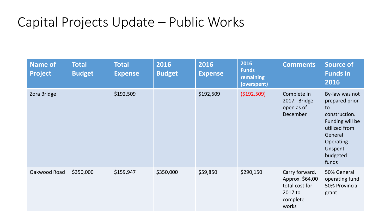| <b>Name of</b><br><b>Project</b> | <b>Total</b><br><b>Budget</b> | <b>Total</b><br><b>Expense</b> | 2016<br><b>Budget</b> | 2016<br><b>Expense</b> | 2016<br><b>Funds</b><br>remaining<br>(overspent) | <b>Comments</b>                                                                     | <b>Source of</b><br><b>Funds in</b><br>2016                                                                                                         |
|----------------------------------|-------------------------------|--------------------------------|-----------------------|------------------------|--------------------------------------------------|-------------------------------------------------------------------------------------|-----------------------------------------------------------------------------------------------------------------------------------------------------|
| Zora Bridge                      |                               | \$192,509                      |                       | \$192,509              | ( \$192,509)                                     | Complete in<br>2017. Bridge<br>open as of<br>December                               | By-law was not<br>prepared prior<br>to<br>construction.<br>Funding will be<br>utilized from<br>General<br>Operating<br>Unspent<br>budgeted<br>funds |
| Oakwood Road                     | \$350,000                     | \$159,947                      | \$350,000             | \$59,850               | \$290,150                                        | Carry forward.<br>Approx. \$64,00<br>total cost for<br>2017 to<br>complete<br>works | 50% General<br>operating fund<br>50% Provincial<br>grant                                                                                            |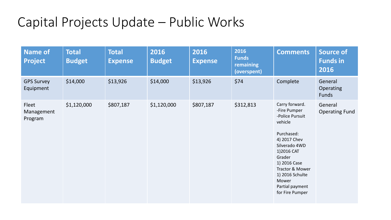| <b>Name of</b><br><b>Project</b> | <b>Total</b><br><b>Budget</b> | <b>Total</b><br><b>Expense</b> | 2016<br><b>Budget</b> | 2016<br><b>Expense</b> | 2016<br><b>Funds</b><br>remaining<br>(overspent) | <b>Comments</b>                                                                                                                                                                                                                          | <b>Source of</b><br><b>Funds in</b><br>2016 |
|----------------------------------|-------------------------------|--------------------------------|-----------------------|------------------------|--------------------------------------------------|------------------------------------------------------------------------------------------------------------------------------------------------------------------------------------------------------------------------------------------|---------------------------------------------|
| <b>GPS Survey</b><br>Equipment   | \$14,000                      | \$13,926                       | \$14,000              | \$13,926               | \$74                                             | Complete                                                                                                                                                                                                                                 | General<br><b>Operating</b><br><b>Funds</b> |
| Fleet<br>Management<br>Program   | \$1,120,000                   | \$807,187                      | \$1,120,000           | \$807,187              | \$312,813                                        | Carry forward.<br>-Fire Pumper<br>-Police Pursuit<br>vehicle<br>Purchased:<br>4) 2017 Chev<br>Silverado 4WD<br>1)2016 CAT<br>Grader<br>1) 2016 Case<br>Tractor & Mower<br>1) 2016 Schulte<br>Mower<br>Partial payment<br>for Fire Pumper | General<br><b>Operating Fund</b>            |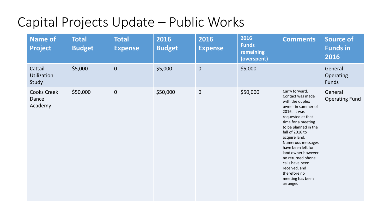| <b>Name of</b><br><b>Project</b>       | <b>Total</b><br><b>Budget</b> | <b>Total</b><br><b>Expense</b> | 2016<br><b>Budget</b> | 2016<br><b>Expense</b> | 2016<br><b>Funds</b><br>remaining<br>(overspent) | <b>Comments</b>                                                                                                                                                                                                                                                                                                                                                              | <b>Source of</b><br><b>Funds in</b><br>2016 |
|----------------------------------------|-------------------------------|--------------------------------|-----------------------|------------------------|--------------------------------------------------|------------------------------------------------------------------------------------------------------------------------------------------------------------------------------------------------------------------------------------------------------------------------------------------------------------------------------------------------------------------------------|---------------------------------------------|
| Cattail<br><b>Utilization</b><br>Study | \$5,000                       | $\boldsymbol{0}$               | \$5,000               | $\mathbf{0}$           | \$5,000                                          |                                                                                                                                                                                                                                                                                                                                                                              | General<br>Operating<br><b>Funds</b>        |
| <b>Cooks Creek</b><br>Dance<br>Academy | \$50,000                      | $\mathbf 0$                    | \$50,000              | $\mathbf{0}$           | \$50,000                                         | Carry forward.<br>Contact was made<br>with the duplex<br>owner in summer of<br>2016. It was<br>requested at that<br>time for a meeting<br>to be planned in the<br>fall of 2016 to<br>acquire land.<br>Numerous messages<br>have been left for<br>land owner however<br>no returned phone<br>calls have been<br>received, and<br>therefore no<br>meeting has been<br>arranged | General<br><b>Operating Fund</b>            |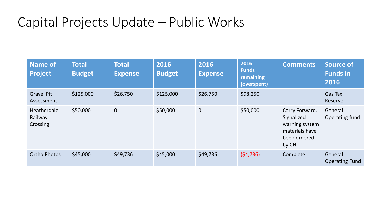| <b>Name of</b><br><b>Project</b>   | <b>Total</b><br><b>Budget</b> | <b>Total</b><br><b>Expense</b> | 2016<br><b>Budget</b> | 2016<br><b>Expense</b> | 2016<br><b>Funds</b><br>remaining<br>(overspent) | <b>Comments</b>                                                                            | <b>Source of</b><br><b>Funds in</b><br>2016 |
|------------------------------------|-------------------------------|--------------------------------|-----------------------|------------------------|--------------------------------------------------|--------------------------------------------------------------------------------------------|---------------------------------------------|
| <b>Gravel Pit</b><br>Assessment    | \$125,000                     | \$26,750                       | \$125,000             | \$26,750               | \$98.250                                         |                                                                                            | Gas Tax<br>Reserve                          |
| Heatherdale<br>Railway<br>Crossing | \$50,000                      | $\mathbf{0}$                   | \$50,000              | $\pmb{0}$              | \$50,000                                         | Carry Forward.<br>Signalized<br>warning system<br>materials have<br>been ordered<br>by CN. | General<br>Operating fund                   |
| <b>Ortho Photos</b>                | \$45,000                      | \$49,736                       | \$45,000              | \$49,736               | (54, 736)                                        | Complete                                                                                   | General<br><b>Operating Fund</b>            |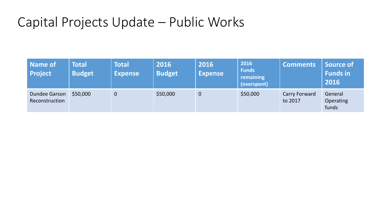| Name of<br><b>Project</b>              | <b>Total</b><br><b>Budget</b> | <b>Total</b><br><b>Expense</b> | 2016<br><b>Budget</b> | 2016<br><b>Expense</b> | 2016<br><b>Funds</b><br>remaining<br>(overspent) | <b>Comments</b>          | Source of<br><b>Funds in</b><br>2016 |
|----------------------------------------|-------------------------------|--------------------------------|-----------------------|------------------------|--------------------------------------------------|--------------------------|--------------------------------------|
| <b>Dundee Garson</b><br>Reconstruction | \$50,000                      | $\overline{0}$                 | \$50,000              | $\boldsymbol{0}$       | \$50,000                                         | Carry Forward<br>to 2017 | General<br><b>Operating</b><br>funds |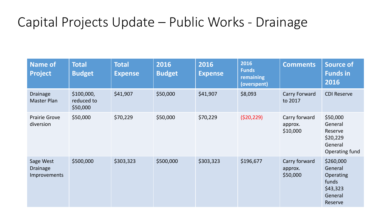# Capital Projects Update – Public Works - Drainage

| <b>Name of</b><br><b>Project</b>                    | <b>Total</b><br><b>Budget</b>        | <b>Total</b><br><b>Expense</b> | 2016<br><b>Budget</b> | 2016<br><b>Expense</b> | 2016<br><b>Funds</b><br>remaining<br>(overspent) | <b>Comments</b>                      | <b>Source of</b><br><b>Funds in</b><br>2016                                  |
|-----------------------------------------------------|--------------------------------------|--------------------------------|-----------------------|------------------------|--------------------------------------------------|--------------------------------------|------------------------------------------------------------------------------|
| <b>Drainage</b><br><b>Master Plan</b>               | \$100,000,<br>reduced to<br>\$50,000 | \$41,907                       | \$50,000              | \$41,907               | \$8,093                                          | Carry Forward<br>to 2017             | <b>CDI Reserve</b>                                                           |
| <b>Prairie Grove</b><br>diversion                   | \$50,000                             | \$70,229                       | \$50,000              | \$70,229               | (520, 229)                                       | Carry forward<br>approx.<br>\$10,000 | \$50,000<br>General<br>Reserve<br>\$20,229<br>General<br>Operating fund      |
| Sage West<br><b>Drainage</b><br><b>Improvements</b> | \$500,000                            | \$303,323                      | \$500,000             | \$303,323              | \$196,677                                        | Carry forward<br>approx.<br>\$50,000 | \$260,000<br>General<br>Operating<br>funds<br>\$43,323<br>General<br>Reserve |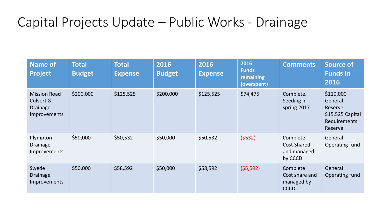# Capital Projects Update – Public Works - Drainage

| <b>Name of</b><br><b>Project</b>                                           | <b>Total</b><br><b>Budget</b> | <b>Total</b><br><b>Expense</b> | 2016<br><b>Budget</b> | 2016<br><b>Expense</b> | 2016<br><b>Funds</b><br>remaining<br>(overspent) | <b>Comments</b>                                          | <b>Source of</b><br><b>Funds in</b><br>2016                                            |
|----------------------------------------------------------------------------|-------------------------------|--------------------------------|-----------------------|------------------------|--------------------------------------------------|----------------------------------------------------------|----------------------------------------------------------------------------------------|
| <b>Mission Road</b><br>Culvert &<br><b>Drainage</b><br><b>Improvements</b> | \$200,000                     | \$125,525                      | \$200,000             | \$125,525              | \$74,475                                         | Complete.<br>Seeding in<br>spring 2017                   | \$110,000<br>General<br>Reserve<br>$$15,525$ Capital<br><b>Requirements</b><br>Reserve |
| Plympton<br><b>Drainage</b><br><b>Improvements</b>                         | \$50,000                      | \$50,532                       | \$50,000              | \$50,532               | (5532)                                           | Complete<br><b>Cost Shared</b><br>and managed<br>by CCCD | General<br>Operating fund                                                              |
| Swede<br><b>Drainage</b><br><b>Improvements</b>                            | \$50,000                      | \$58,592                       | \$50,000              | \$58,592               | (55, 592)                                        | Complete<br>Cost share and<br>managed by<br><b>CCCD</b>  | General<br>Operating fund                                                              |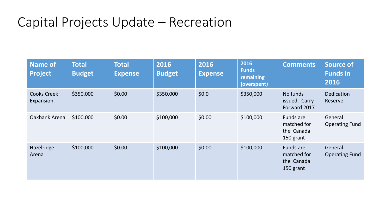## Capital Projects Update – Recreation

| <b>Name of</b><br><b>Project</b> | <b>Total</b><br><b>Budget</b> | <b>Total</b><br><b>Expense</b> | 2016<br><b>Budget</b> | 2016<br><b>Expense</b> | 2016<br><b>Funds</b><br>remaining<br>(overspent) | <b>Comments</b>                                     | <b>Source of</b><br><b>Funds in</b><br>2016 |
|----------------------------------|-------------------------------|--------------------------------|-----------------------|------------------------|--------------------------------------------------|-----------------------------------------------------|---------------------------------------------|
| <b>Cooks Creek</b><br>Expansion  | \$350,000                     | \$0.00                         | \$350,000             | \$0.0\$                | \$350,000                                        | No funds<br>issued. Carry<br>Forward 2017           | <b>Dedication</b><br>Reserve                |
| Oakbank Arena                    | \$100,000                     | \$0.00                         | \$100,000             | \$0.00                 | \$100,000                                        | Funds are<br>matched for<br>the Canada<br>150 grant | General<br><b>Operating Fund</b>            |
| Hazelridge<br>Arena              | \$100,000                     | \$0.00                         | \$100,000             | \$0.00                 | \$100,000                                        | Funds are<br>matched for<br>the Canada<br>150 grant | General<br><b>Operating Fund</b>            |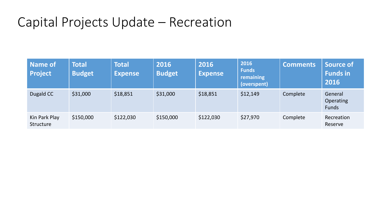## Capital Projects Update – Recreation

| <b>Name of</b><br><b>Project</b> | Total<br><b>Budget</b> | <b>Total</b><br><b>Expense</b> | 2016<br><b>Budget</b> | 2016<br><b>Expense</b> | 2016<br><b>Funds</b><br>remaining<br>(overspent) | <b>Comments</b> | <b>Source of</b><br><b>Funds</b> in<br>2016 |
|----------------------------------|------------------------|--------------------------------|-----------------------|------------------------|--------------------------------------------------|-----------------|---------------------------------------------|
| Dugald CC                        | \$31,000               | \$18,851                       | \$31,000              | \$18,851               | \$12,149                                         | Complete        | General<br><b>Operating</b><br><b>Funds</b> |
| Kin Park Play<br>Structure       | \$150,000              | \$122,030                      | \$150,000             | \$122,030              | \$27,970                                         | Complete        | Recreation<br>Reserve                       |